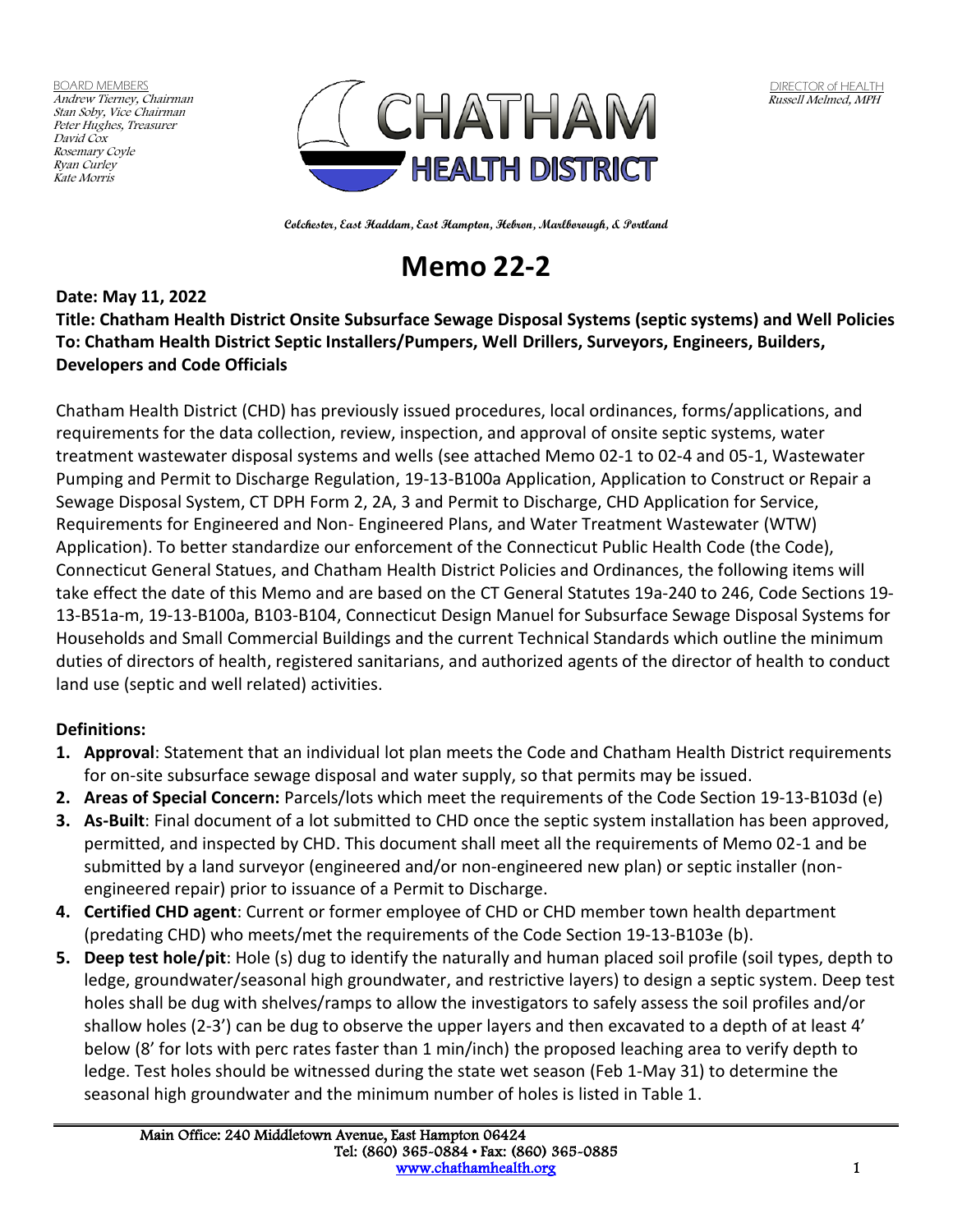BOARD MEMBERS Andrew Tierney, Chairman Stan Soby, Vice Chairman Peter Hughes, Treasurer David Cox Rosemary Coyle Ryan Curley Kate Morris



**Colchester, East Haddam, East Hampton, Hebron, Marlborough, & Portland**

# **Memo 22-2**

**Date: May 11, 2022 Title: Chatham Health District Onsite Subsurface Sewage Disposal Systems (septic systems) and Well Policies To: Chatham Health District Septic Installers/Pumpers, Well Drillers, Surveyors, Engineers, Builders, Developers and Code Officials**

Chatham Health District (CHD) has previously issued procedures, local ordinances, forms/applications, and requirements for the data collection, review, inspection, and approval of onsite septic systems, water treatment wastewater disposal systems and wells (see attached Memo 02-1 to 02-4 and 05-1, Wastewater Pumping and Permit to Discharge Regulation, 19-13-B100a Application, Application to Construct or Repair a Sewage Disposal System, CT DPH Form 2, 2A, 3 and Permit to Discharge, CHD Application for Service, Requirements for Engineered and Non- Engineered Plans, and Water Treatment Wastewater (WTW) Application). To better standardize our enforcement of the Connecticut Public Health Code (the Code), Connecticut General Statues, and Chatham Health District Policies and Ordinances, the following items will take effect the date of this Memo and are based on the CT General Statutes 19a-240 to 246, Code Sections 19- 13-B51a-m, 19-13-B100a, B103-B104, Connecticut Design Manuel for Subsurface Sewage Disposal Systems for Households and Small Commercial Buildings and the current Technical Standards which outline the minimum duties of directors of health, registered sanitarians, and authorized agents of the director of health to conduct land use (septic and well related) activities.

#### **Definitions:**

- **1. Approval**: Statement that an individual lot plan meets the Code and Chatham Health District requirements for on-site subsurface sewage disposal and water supply, so that permits may be issued.
- **2. Areas of Special Concern:** Parcels/lots which meet the requirements of the Code Section 19-13-B103d (e)
- **3. As-Built**: Final document of a lot submitted to CHD once the septic system installation has been approved, permitted, and inspected by CHD. This document shall meet all the requirements of Memo 02-1 and be submitted by a land surveyor (engineered and/or non-engineered new plan) or septic installer (nonengineered repair) prior to issuance of a Permit to Discharge.
- **4. Certified CHD agent**: Current or former employee of CHD or CHD member town health department (predating CHD) who meets/met the requirements of the Code Section 19-13-B103e (b).
- **5. Deep test hole/pit**: Hole (s) dug to identify the naturally and human placed soil profile (soil types, depth to ledge, groundwater/seasonal high groundwater, and restrictive layers) to design a septic system. Deep test holes shall be dug with shelves/ramps to allow the investigators to safely assess the soil profiles and/or shallow holes (2-3') can be dug to observe the upper layers and then excavated to a depth of at least 4' below (8' for lots with perc rates faster than 1 min/inch) the proposed leaching area to verify depth to ledge. Test holes should be witnessed during the state wet season (Feb 1-May 31) to determine the seasonal high groundwater and the minimum number of holes is listed in Table 1.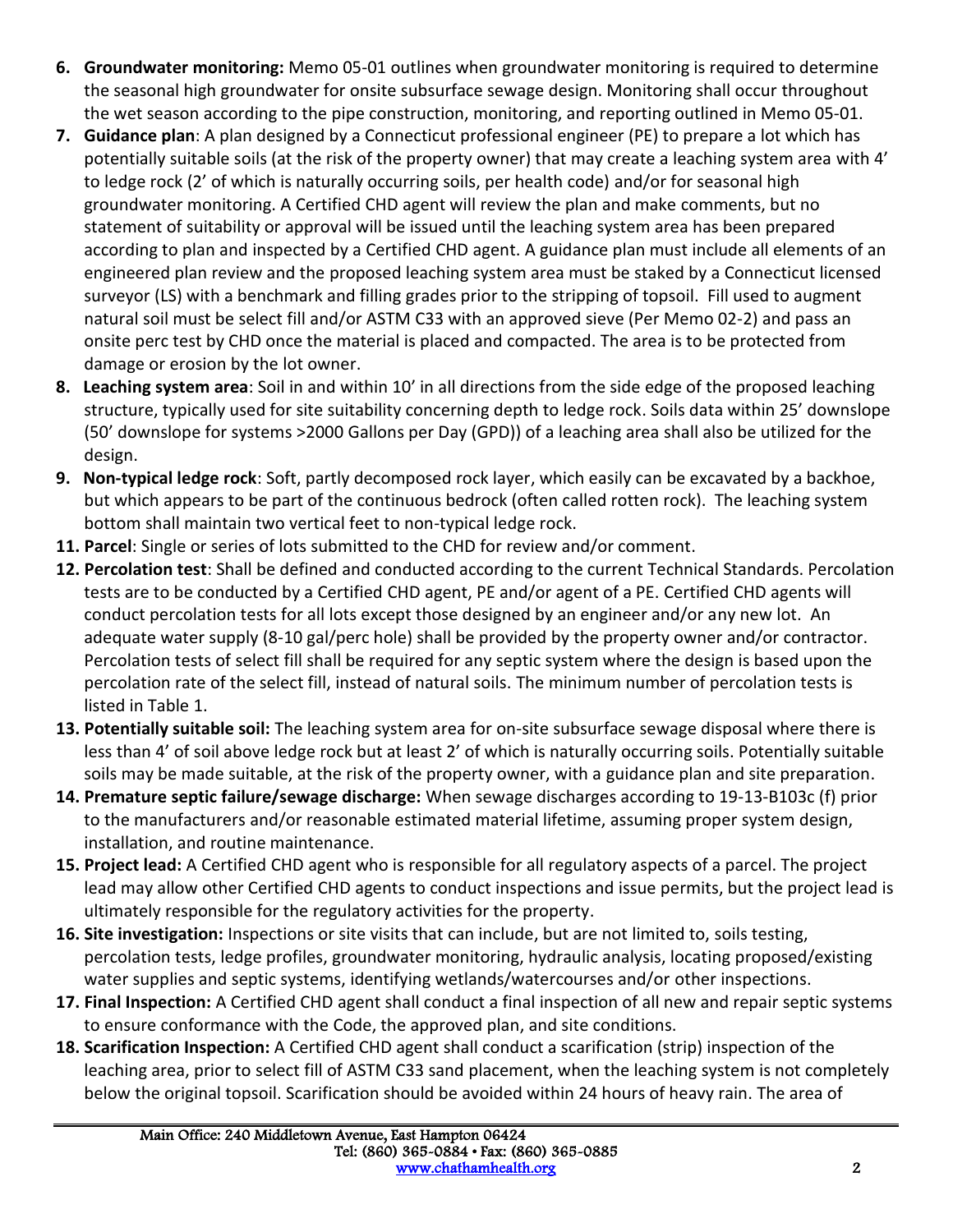- **6. Groundwater monitoring:** Memo 05-01 outlines when groundwater monitoring is required to determine the seasonal high groundwater for onsite subsurface sewage design. Monitoring shall occur throughout the wet season according to the pipe construction, monitoring, and reporting outlined in Memo 05-01.
- **7. Guidance plan**: A plan designed by a Connecticut professional engineer (PE) to prepare a lot which has potentially suitable soils (at the risk of the property owner) that may create a leaching system area with 4' to ledge rock (2' of which is naturally occurring soils, per health code) and/or for seasonal high groundwater monitoring. A Certified CHD agent will review the plan and make comments, but no statement of suitability or approval will be issued until the leaching system area has been prepared according to plan and inspected by a Certified CHD agent. A guidance plan must include all elements of an engineered plan review and the proposed leaching system area must be staked by a Connecticut licensed surveyor (LS) with a benchmark and filling grades prior to the stripping of topsoil. Fill used to augment natural soil must be select fill and/or ASTM C33 with an approved sieve (Per Memo 02-2) and pass an onsite perc test by CHD once the material is placed and compacted. The area is to be protected from damage or erosion by the lot owner.
- **8. Leaching system area**: Soil in and within 10' in all directions from the side edge of the proposed leaching structure, typically used for site suitability concerning depth to ledge rock. Soils data within 25' downslope (50' downslope for systems >2000 Gallons per Day (GPD)) of a leaching area shall also be utilized for the design.
- **9. Non-typical ledge rock**: Soft, partly decomposed rock layer, which easily can be excavated by a backhoe, but which appears to be part of the continuous bedrock (often called rotten rock). The leaching system bottom shall maintain two vertical feet to non-typical ledge rock.
- **11. Parcel**: Single or series of lots submitted to the CHD for review and/or comment.
- **12. Percolation test**: Shall be defined and conducted according to the current Technical Standards. Percolation tests are to be conducted by a Certified CHD agent, PE and/or agent of a PE. Certified CHD agents will conduct percolation tests for all lots except those designed by an engineer and/or any new lot. An adequate water supply (8-10 gal/perc hole) shall be provided by the property owner and/or contractor. Percolation tests of select fill shall be required for any septic system where the design is based upon the percolation rate of the select fill, instead of natural soils. The minimum number of percolation tests is listed in Table 1.
- **13. Potentially suitable soil:** The leaching system area for on-site subsurface sewage disposal where there is less than 4' of soil above ledge rock but at least 2' of which is naturally occurring soils. Potentially suitable soils may be made suitable, at the risk of the property owner, with a guidance plan and site preparation.
- **14. Premature septic failure/sewage discharge:** When sewage discharges according to 19-13-B103c (f) prior to the manufacturers and/or reasonable estimated material lifetime, assuming proper system design, installation, and routine maintenance.
- **15. Project lead:** A Certified CHD agent who is responsible for all regulatory aspects of a parcel. The project lead may allow other Certified CHD agents to conduct inspections and issue permits, but the project lead is ultimately responsible for the regulatory activities for the property.
- **16. Site investigation:** Inspections or site visits that can include, but are not limited to, soils testing, percolation tests, ledge profiles, groundwater monitoring, hydraulic analysis, locating proposed/existing water supplies and septic systems, identifying wetlands/watercourses and/or other inspections.
- **17. Final Inspection:** A Certified CHD agent shall conduct a final inspection of all new and repair septic systems to ensure conformance with the Code, the approved plan, and site conditions.
- **18. Scarification Inspection:** A Certified CHD agent shall conduct a scarification (strip) inspection of the leaching area, prior to select fill of ASTM C33 sand placement, when the leaching system is not completely below the original topsoil. Scarification should be avoided within 24 hours of heavy rain. The area of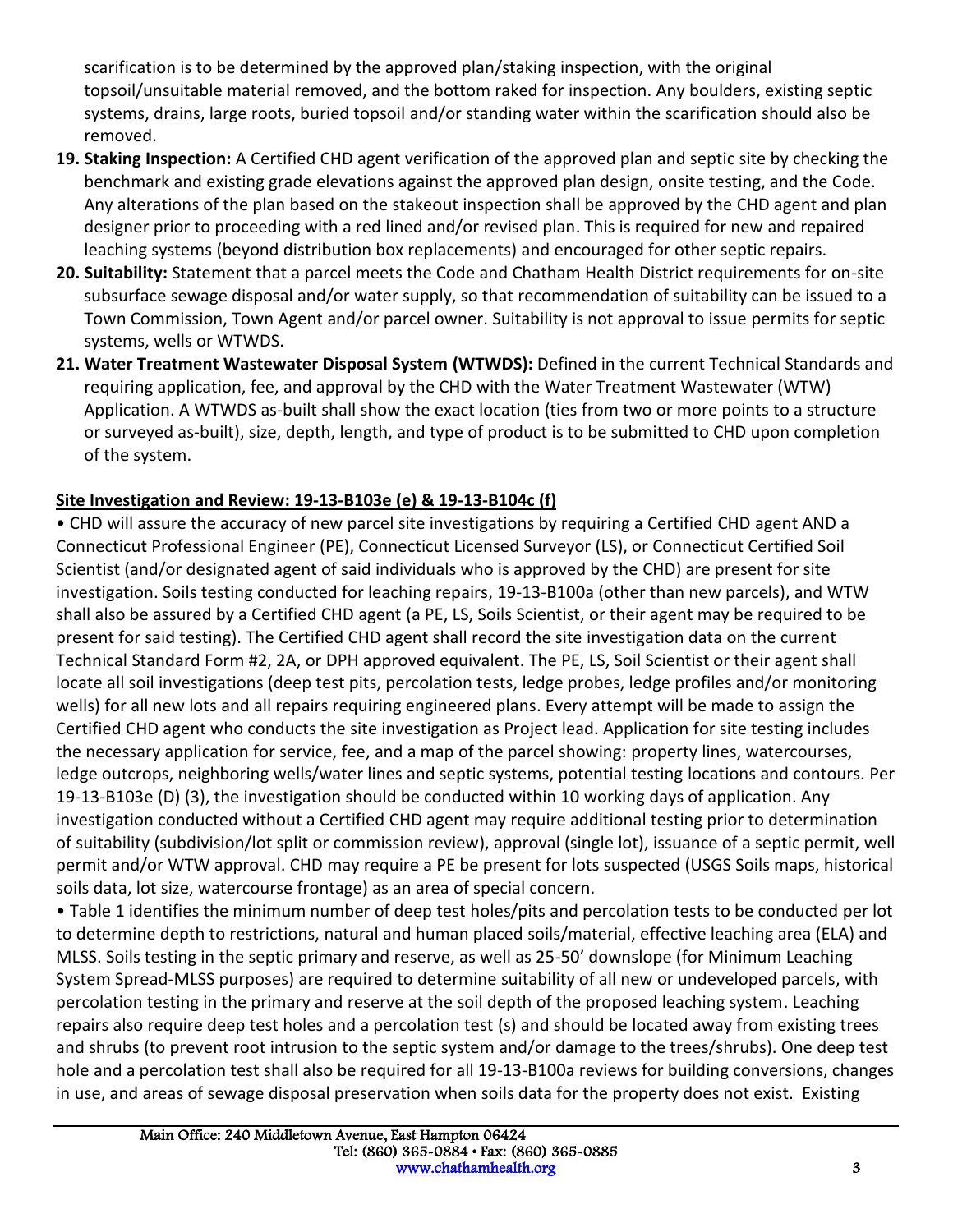scarification is to be determined by the approved plan/staking inspection, with the original topsoil/unsuitable material removed, and the bottom raked for inspection. Any boulders, existing septic systems, drains, large roots, buried topsoil and/or standing water within the scarification should also be removed.

- **19. Staking Inspection:** A Certified CHD agent verification of the approved plan and septic site by checking the benchmark and existing grade elevations against the approved plan design, onsite testing, and the Code. Any alterations of the plan based on the stakeout inspection shall be approved by the CHD agent and plan designer prior to proceeding with a red lined and/or revised plan. This is required for new and repaired leaching systems (beyond distribution box replacements) and encouraged for other septic repairs.
- **20. Suitability:** Statement that a parcel meets the Code and Chatham Health District requirements for on-site subsurface sewage disposal and/or water supply, so that recommendation of suitability can be issued to a Town Commission, Town Agent and/or parcel owner. Suitability is not approval to issue permits for septic systems, wells or WTWDS.
- **21. Water Treatment Wastewater Disposal System (WTWDS):** Defined in the current Technical Standards and requiring application, fee, and approval by the CHD with the Water Treatment Wastewater (WTW) Application. A WTWDS as-built shall show the exact location (ties from two or more points to a structure or surveyed as-built), size, depth, length, and type of product is to be submitted to CHD upon completion of the system.

# **Site Investigation and Review: 19-13-B103e (e) & 19-13-B104c (f)**

• CHD will assure the accuracy of new parcel site investigations by requiring a Certified CHD agent AND a Connecticut Professional Engineer (PE), Connecticut Licensed Surveyor (LS), or Connecticut Certified Soil Scientist (and/or designated agent of said individuals who is approved by the CHD) are present for site investigation. Soils testing conducted for leaching repairs, 19-13-B100a (other than new parcels), and WTW shall also be assured by a Certified CHD agent (a PE, LS, Soils Scientist, or their agent may be required to be present for said testing). The Certified CHD agent shall record the site investigation data on the current Technical Standard Form #2, 2A, or DPH approved equivalent. The PE, LS, Soil Scientist or their agent shall locate all soil investigations (deep test pits, percolation tests, ledge probes, ledge profiles and/or monitoring wells) for all new lots and all repairs requiring engineered plans. Every attempt will be made to assign the Certified CHD agent who conducts the site investigation as Project lead. Application for site testing includes the necessary application for service, fee, and a map of the parcel showing: property lines, watercourses, ledge outcrops, neighboring wells/water lines and septic systems, potential testing locations and contours. Per 19-13-B103e (D) (3), the investigation should be conducted within 10 working days of application. Any investigation conducted without a Certified CHD agent may require additional testing prior to determination of suitability (subdivision/lot split or commission review), approval (single lot), issuance of a septic permit, well permit and/or WTW approval. CHD may require a PE be present for lots suspected (USGS Soils maps, historical soils data, lot size, watercourse frontage) as an area of special concern.

• Table 1 identifies the minimum number of deep test holes/pits and percolation tests to be conducted per lot to determine depth to restrictions, natural and human placed soils/material, effective leaching area (ELA) and MLSS. Soils testing in the septic primary and reserve, as well as 25-50' downslope (for Minimum Leaching System Spread-MLSS purposes) are required to determine suitability of all new or undeveloped parcels, with percolation testing in the primary and reserve at the soil depth of the proposed leaching system. Leaching repairs also require deep test holes and a percolation test (s) and should be located away from existing trees and shrubs (to prevent root intrusion to the septic system and/or damage to the trees/shrubs). One deep test hole and a percolation test shall also be required for all 19-13-B100a reviews for building conversions, changes in use, and areas of sewage disposal preservation when soils data for the property does not exist. Existing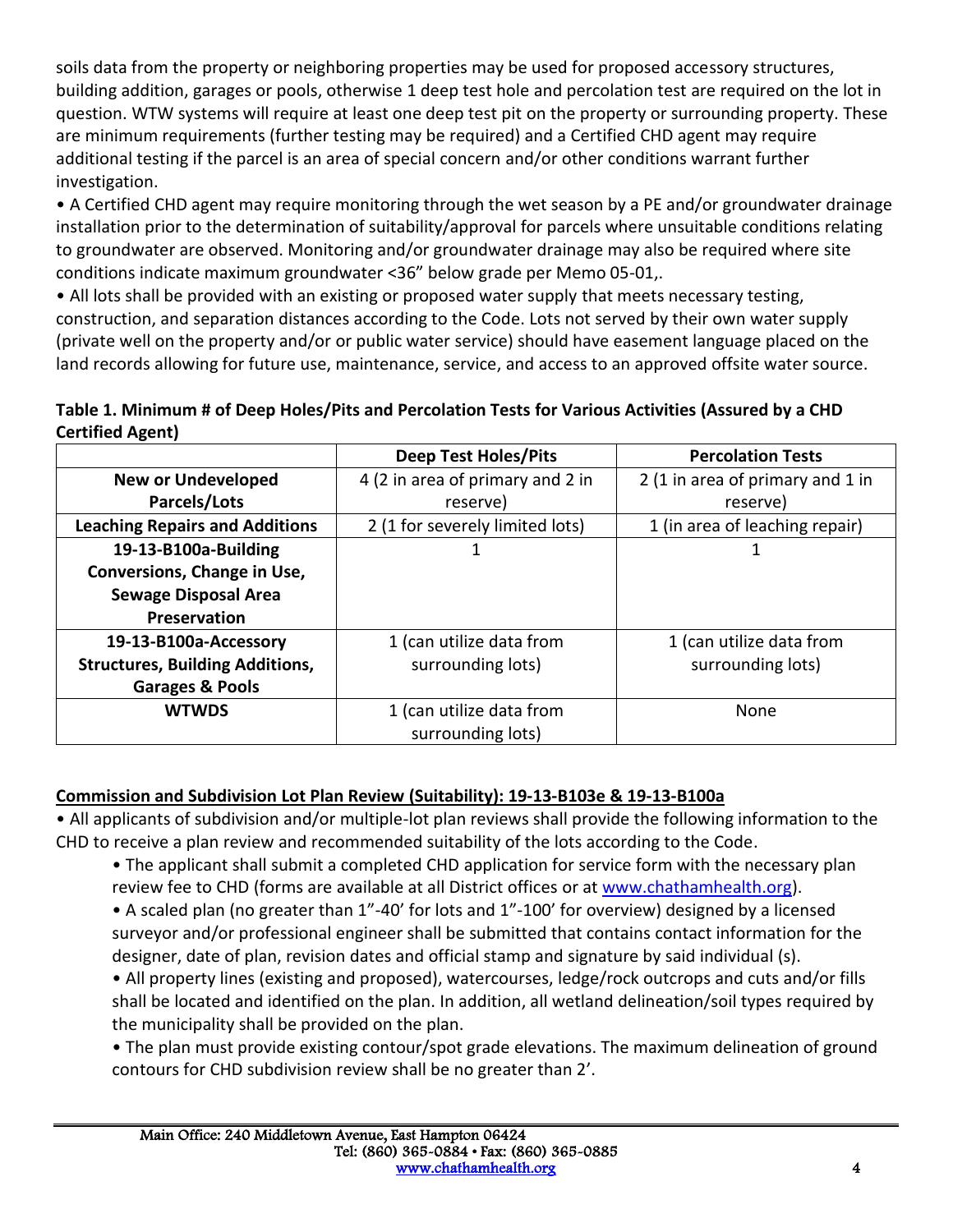soils data from the property or neighboring properties may be used for proposed accessory structures, building addition, garages or pools, otherwise 1 deep test hole and percolation test are required on the lot in question. WTW systems will require at least one deep test pit on the property or surrounding property. These are minimum requirements (further testing may be required) and a Certified CHD agent may require additional testing if the parcel is an area of special concern and/or other conditions warrant further investigation.

• A Certified CHD agent may require monitoring through the wet season by a PE and/or groundwater drainage installation prior to the determination of suitability/approval for parcels where unsuitable conditions relating to groundwater are observed. Monitoring and/or groundwater drainage may also be required where site conditions indicate maximum groundwater <36" below grade per Memo 05-01,.

• All lots shall be provided with an existing or proposed water supply that meets necessary testing, construction, and separation distances according to the Code. Lots not served by their own water supply (private well on the property and/or or public water service) should have easement language placed on the land records allowing for future use, maintenance, service, and access to an approved offsite water source.

## **Table 1. Minimum # of Deep Holes/Pits and Percolation Tests for Various Activities (Assured by a CHD Certified Agent)**

|                                        | <b>Deep Test Holes/Pits</b>      | <b>Percolation Tests</b>         |
|----------------------------------------|----------------------------------|----------------------------------|
| <b>New or Undeveloped</b>              | 4 (2 in area of primary and 2 in | 2 (1 in area of primary and 1 in |
| Parcels/Lots                           | reserve)                         | reserve)                         |
| <b>Leaching Repairs and Additions</b>  | 2 (1 for severely limited lots)  | 1 (in area of leaching repair)   |
| 19-13-B100a-Building                   |                                  |                                  |
| Conversions, Change in Use,            |                                  |                                  |
| <b>Sewage Disposal Area</b>            |                                  |                                  |
| <b>Preservation</b>                    |                                  |                                  |
| 19-13-B100a-Accessory                  | 1 (can utilize data from         | 1 (can utilize data from         |
| <b>Structures, Building Additions,</b> | surrounding lots)                | surrounding lots)                |
| <b>Garages &amp; Pools</b>             |                                  |                                  |
| <b>WTWDS</b>                           | 1 (can utilize data from         | None                             |
|                                        | surrounding lots)                |                                  |

#### **Commission and Subdivision Lot Plan Review (Suitability): 19-13-B103e & 19-13-B100a**

• All applicants of subdivision and/or multiple-lot plan reviews shall provide the following information to the CHD to receive a plan review and recommended suitability of the lots according to the Code.

- The applicant shall submit a completed CHD application for service form with the necessary plan review fee to CHD (forms are available at all District offices or at [www.chathamhealth.org\)](http://www.chathamhealth.org/).
- A scaled plan (no greater than 1"-40' for lots and 1"-100' for overview) designed by a licensed surveyor and/or professional engineer shall be submitted that contains contact information for the designer, date of plan, revision dates and official stamp and signature by said individual (s).

• All property lines (existing and proposed), watercourses, ledge/rock outcrops and cuts and/or fills shall be located and identified on the plan. In addition, all wetland delineation/soil types required by the municipality shall be provided on the plan.

• The plan must provide existing contour/spot grade elevations. The maximum delineation of ground contours for CHD subdivision review shall be no greater than 2'.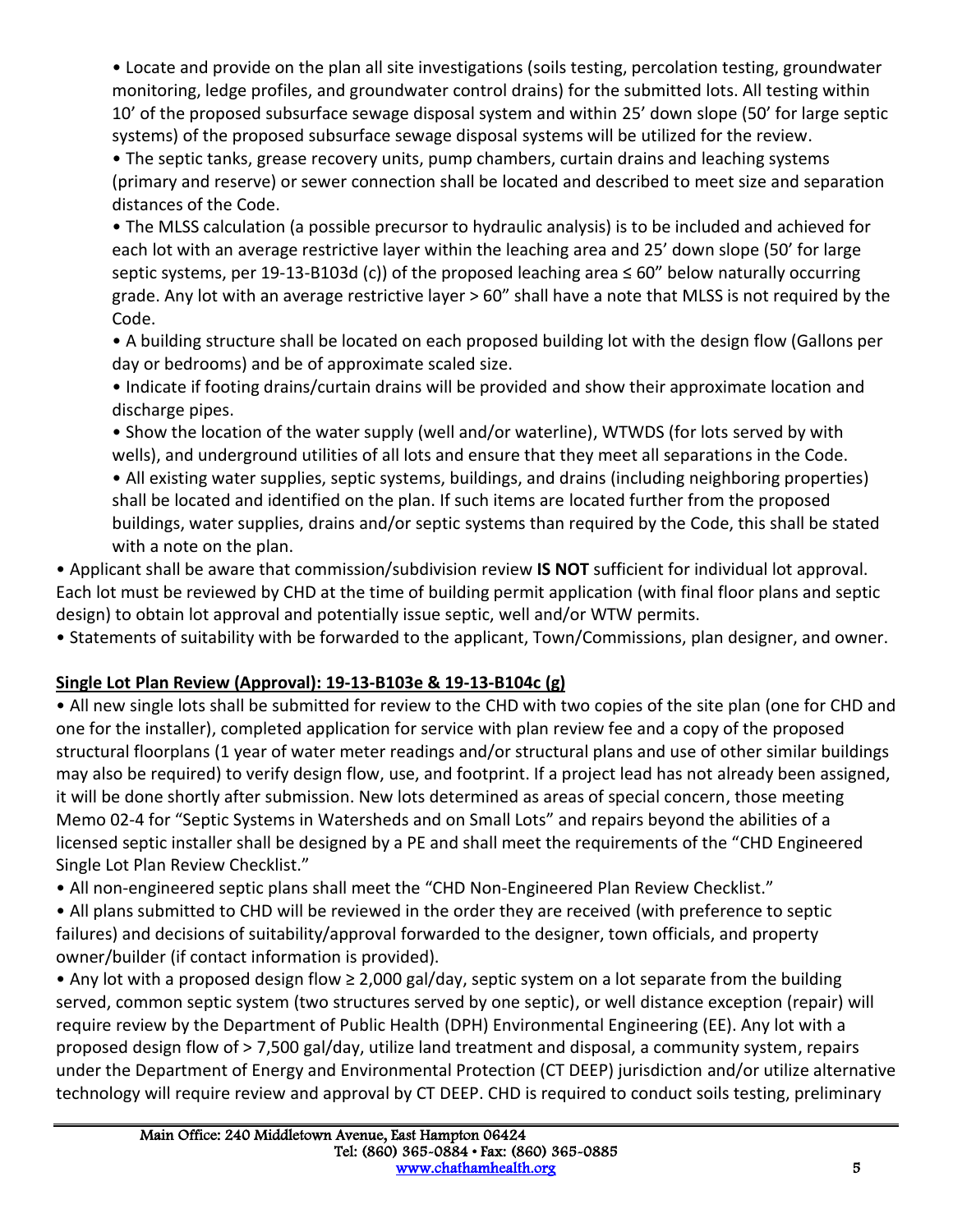• Locate and provide on the plan all site investigations (soils testing, percolation testing, groundwater monitoring, ledge profiles, and groundwater control drains) for the submitted lots. All testing within 10' of the proposed subsurface sewage disposal system and within 25' down slope (50' for large septic systems) of the proposed subsurface sewage disposal systems will be utilized for the review.

• The septic tanks, grease recovery units, pump chambers, curtain drains and leaching systems (primary and reserve) or sewer connection shall be located and described to meet size and separation distances of the Code.

• The MLSS calculation (a possible precursor to hydraulic analysis) is to be included and achieved for each lot with an average restrictive layer within the leaching area and 25' down slope (50' for large septic systems, per 19-13-B103d (c)) of the proposed leaching area ≤ 60" below naturally occurring grade. Any lot with an average restrictive layer > 60" shall have a note that MLSS is not required by the Code.

• A building structure shall be located on each proposed building lot with the design flow (Gallons per day or bedrooms) and be of approximate scaled size.

• Indicate if footing drains/curtain drains will be provided and show their approximate location and discharge pipes.

• Show the location of the water supply (well and/or waterline), WTWDS (for lots served by with wells), and underground utilities of all lots and ensure that they meet all separations in the Code.

• All existing water supplies, septic systems, buildings, and drains (including neighboring properties) shall be located and identified on the plan. If such items are located further from the proposed buildings, water supplies, drains and/or septic systems than required by the Code, this shall be stated with a note on the plan.

• Applicant shall be aware that commission/subdivision review **IS NOT** sufficient for individual lot approval. Each lot must be reviewed by CHD at the time of building permit application (with final floor plans and septic design) to obtain lot approval and potentially issue septic, well and/or WTW permits.

• Statements of suitability with be forwarded to the applicant, Town/Commissions, plan designer, and owner.

# **Single Lot Plan Review (Approval): 19-13-B103e & 19-13-B104c (g)**

• All new single lots shall be submitted for review to the CHD with two copies of the site plan (one for CHD and one for the installer), completed application for service with plan review fee and a copy of the proposed structural floorplans (1 year of water meter readings and/or structural plans and use of other similar buildings may also be required) to verify design flow, use, and footprint. If a project lead has not already been assigned, it will be done shortly after submission. New lots determined as areas of special concern, those meeting Memo 02-4 for "Septic Systems in Watersheds and on Small Lots" and repairs beyond the abilities of a licensed septic installer shall be designed by a PE and shall meet the requirements of the "CHD Engineered Single Lot Plan Review Checklist."

• All non-engineered septic plans shall meet the "CHD Non-Engineered Plan Review Checklist."

• All plans submitted to CHD will be reviewed in the order they are received (with preference to septic failures) and decisions of suitability/approval forwarded to the designer, town officials, and property owner/builder (if contact information is provided).

• Any lot with a proposed design flow ≥ 2,000 gal/day, septic system on a lot separate from the building served, common septic system (two structures served by one septic), or well distance exception (repair) will require review by the Department of Public Health (DPH) Environmental Engineering (EE). Any lot with a proposed design flow of > 7,500 gal/day, utilize land treatment and disposal, a community system, repairs under the Department of Energy and Environmental Protection (CT DEEP) jurisdiction and/or utilize alternative technology will require review and approval by CT DEEP. CHD is required to conduct soils testing, preliminary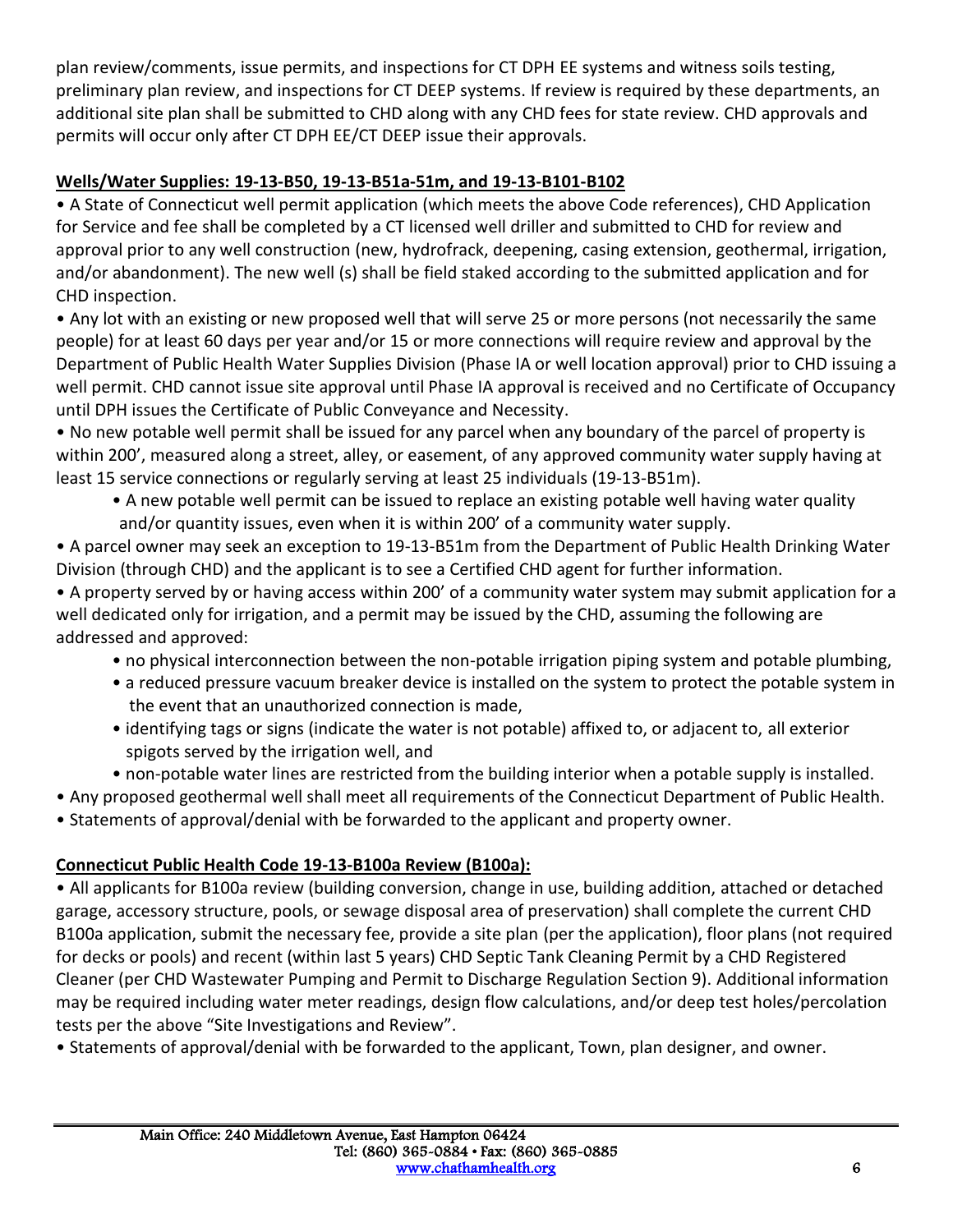plan review/comments, issue permits, and inspections for CT DPH EE systems and witness soils testing, preliminary plan review, and inspections for CT DEEP systems. If review is required by these departments, an additional site plan shall be submitted to CHD along with any CHD fees for state review. CHD approvals and permits will occur only after CT DPH EE/CT DEEP issue their approvals.

# **Wells/Water Supplies: 19-13-B50, 19-13-B51a-51m, and 19-13-B101-B102**

• A State of Connecticut well permit application (which meets the above Code references), CHD Application for Service and fee shall be completed by a CT licensed well driller and submitted to CHD for review and approval prior to any well construction (new, hydrofrack, deepening, casing extension, geothermal, irrigation, and/or abandonment). The new well (s) shall be field staked according to the submitted application and for CHD inspection.

• Any lot with an existing or new proposed well that will serve 25 or more persons (not necessarily the same people) for at least 60 days per year and/or 15 or more connections will require review and approval by the Department of Public Health Water Supplies Division (Phase IA or well location approval) prior to CHD issuing a well permit. CHD cannot issue site approval until Phase IA approval is received and no Certificate of Occupancy until DPH issues the Certificate of Public Conveyance and Necessity.

• No new potable well permit shall be issued for any parcel when any boundary of the parcel of property is within 200', measured along a street, alley, or easement, of any approved community water supply having at least 15 service connections or regularly serving at least 25 individuals (19-13-B51m).

• A new potable well permit can be issued to replace an existing potable well having water quality and/or quantity issues, even when it is within 200' of a community water supply.

• A parcel owner may seek an exception to 19-13-B51m from the Department of Public Health Drinking Water Division (through CHD) and the applicant is to see a Certified CHD agent for further information.

• A property served by or having access within 200' of a community water system may submit application for a well dedicated only for irrigation, and a permit may be issued by the CHD, assuming the following are addressed and approved:

- no physical interconnection between the non-potable irrigation piping system and potable plumbing,
- a reduced pressure vacuum breaker device is installed on the system to protect the potable system in the event that an unauthorized connection is made,
- identifying tags or signs (indicate the water is not potable) affixed to, or adjacent to, all exterior spigots served by the irrigation well, and
- non-potable water lines are restricted from the building interior when a potable supply is installed.

• Any proposed geothermal well shall meet all requirements of the Connecticut Department of Public Health.

• Statements of approval/denial with be forwarded to the applicant and property owner.

# **Connecticut Public Health Code 19-13-B100a Review (B100a):**

• All applicants for B100a review (building conversion, change in use, building addition, attached or detached garage, accessory structure, pools, or sewage disposal area of preservation) shall complete the current CHD B100a application, submit the necessary fee, provide a site plan (per the application), floor plans (not required for decks or pools) and recent (within last 5 years) CHD Septic Tank Cleaning Permit by a CHD Registered Cleaner (per CHD Wastewater Pumping and Permit to Discharge Regulation Section 9). Additional information may be required including water meter readings, design flow calculations, and/or deep test holes/percolation tests per the above "Site Investigations and Review".

• Statements of approval/denial with be forwarded to the applicant, Town, plan designer, and owner.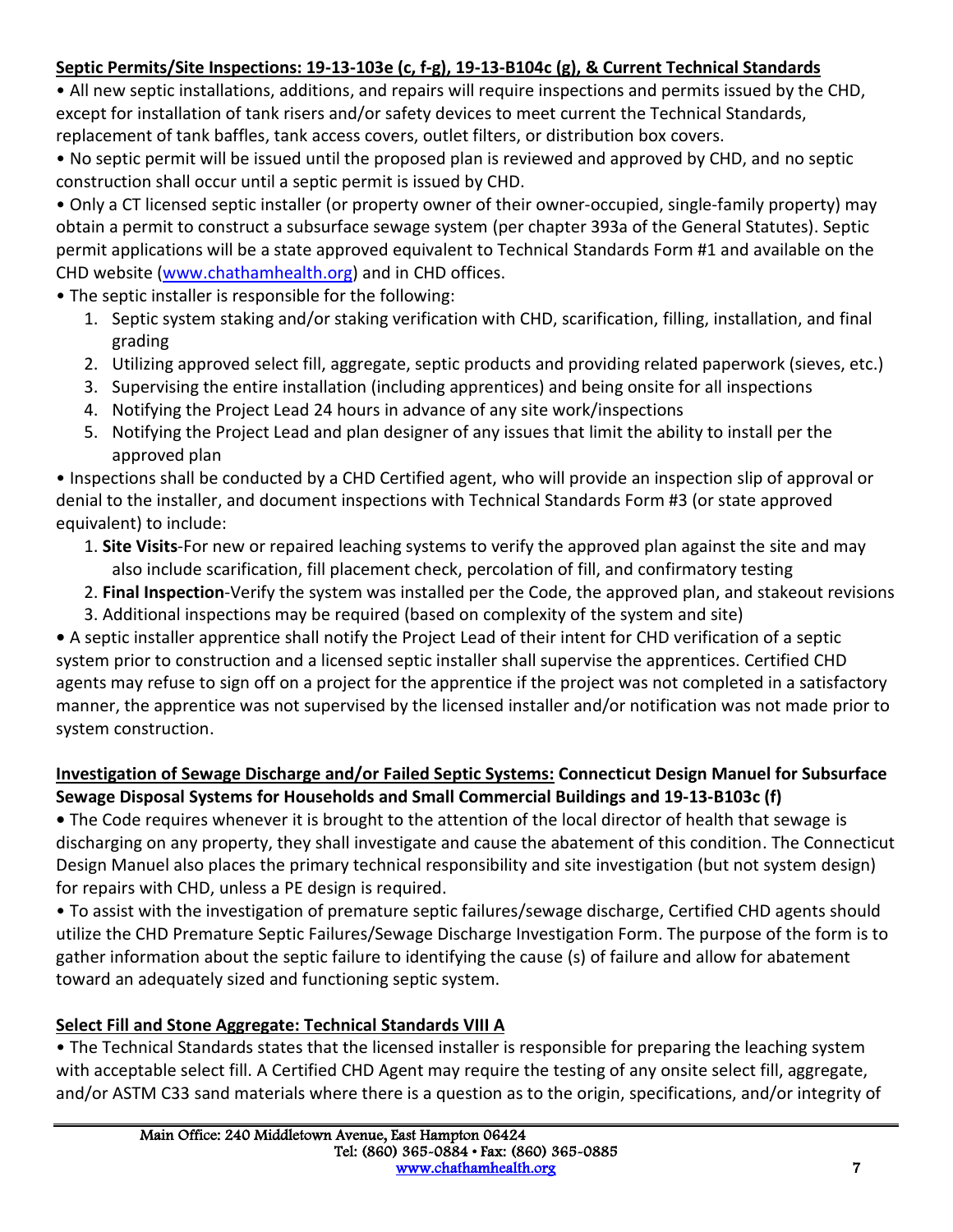# **Septic Permits/Site Inspections: 19-13-103e (c, f-g), 19-13-B104c (g), & Current Technical Standards**

• All new septic installations, additions, and repairs will require inspections and permits issued by the CHD, except for installation of tank risers and/or safety devices to meet current the Technical Standards, replacement of tank baffles, tank access covers, outlet filters, or distribution box covers.

• No septic permit will be issued until the proposed plan is reviewed and approved by CHD, and no septic construction shall occur until a septic permit is issued by CHD.

• Only a CT licensed septic installer (or property owner of their owner-occupied, single-family property) may obtain a permit to construct a subsurface sewage system (per chapter 393a of the General Statutes). Septic permit applications will be a state approved equivalent to Technical Standards Form #1 and available on the CHD website [\(www.chathamhealth.org\)](http://www.chathamhealth.org/) and in CHD offices.

• The septic installer is responsible for the following:

- 1. Septic system staking and/or staking verification with CHD, scarification, filling, installation, and final grading
- 2. Utilizing approved select fill, aggregate, septic products and providing related paperwork (sieves, etc.)
- 3. Supervising the entire installation (including apprentices) and being onsite for all inspections
- 4. Notifying the Project Lead 24 hours in advance of any site work/inspections
- 5. Notifying the Project Lead and plan designer of any issues that limit the ability to install per the approved plan

• Inspections shall be conducted by a CHD Certified agent, who will provide an inspection slip of approval or denial to the installer, and document inspections with Technical Standards Form #3 (or state approved equivalent) to include:

- 1. **Site Visits**-For new or repaired leaching systems to verify the approved plan against the site and may also include scarification, fill placement check, percolation of fill, and confirmatory testing
- 2. **Final Inspection**-Verify the system was installed per the Code, the approved plan, and stakeout revisions
- 3. Additional inspections may be required (based on complexity of the system and site)

**•** A septic installer apprentice shall notify the Project Lead of their intent for CHD verification of a septic system prior to construction and a licensed septic installer shall supervise the apprentices. Certified CHD agents may refuse to sign off on a project for the apprentice if the project was not completed in a satisfactory manner, the apprentice was not supervised by the licensed installer and/or notification was not made prior to system construction.

## **Investigation of Sewage Discharge and/or Failed Septic Systems: Connecticut Design Manuel for Subsurface Sewage Disposal Systems for Households and Small Commercial Buildings and 19-13-B103c (f)**

**•** The Code requires whenever it is brought to the attention of the local director of health that sewage is discharging on any property, they shall investigate and cause the abatement of this condition. The Connecticut Design Manuel also places the primary technical responsibility and site investigation (but not system design) for repairs with CHD, unless a PE design is required.

• To assist with the investigation of premature septic failures/sewage discharge, Certified CHD agents should utilize the CHD Premature Septic Failures/Sewage Discharge Investigation Form. The purpose of the form is to gather information about the septic failure to identifying the cause (s) of failure and allow for abatement toward an adequately sized and functioning septic system.

# **Select Fill and Stone Aggregate: Technical Standards VIII A**

• The Technical Standards states that the licensed installer is responsible for preparing the leaching system with acceptable select fill. A Certified CHD Agent may require the testing of any onsite select fill, aggregate, and/or ASTM C33 sand materials where there is a question as to the origin, specifications, and/or integrity of